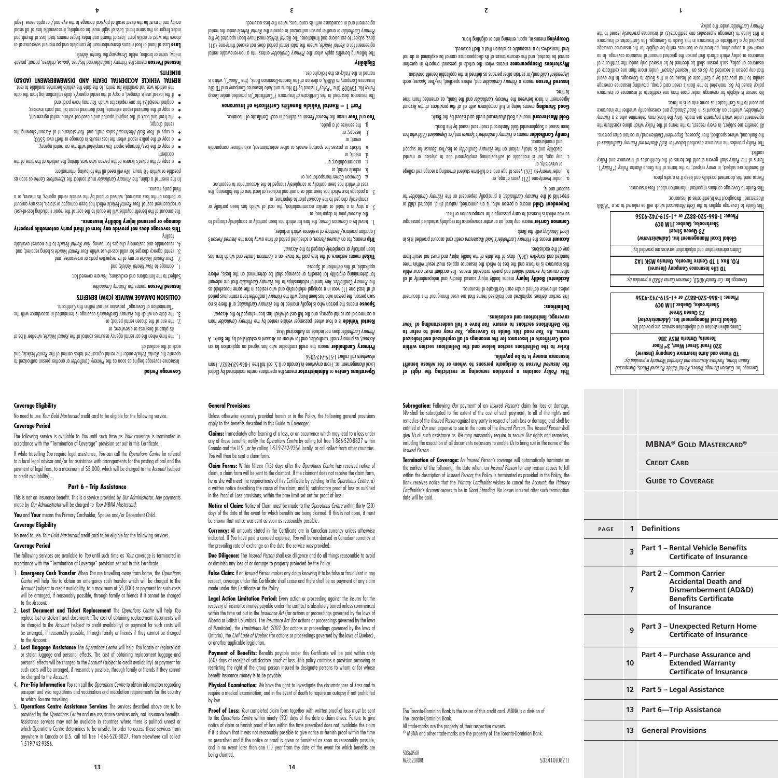or stolen luggage and personal effects. The cost of obtaining replacement luggage and personal effects will be charged to the *Account* (subject to credit availability) or payment for such costs will be arranged, if reasonably possible, through family or friends if they cannot be charged to the *Account*.

3. **Lost Baggage Assistance** The *Operations Centre* will help *You* locate or replace lost

No need to use *Your Gold Mastercard* credit card to be eligible for the following service.

The following service is available to *You* until such time as *Your* coverage is terminated in accordance with the "Termination of Coverage" provision set out in this Certificate. If while travelling *You* require legal assistance, *You* can call the *Operations Centre* for referral to a local legal advisor and/or for assistance with arrangements for the posting of bail and the payment of legal fees, to a maximum of \$5,000, which will be charged to the *Account* (subject

produce coverage begins as soon as the *Primary Cardholder* or another person authorized to , and *Rental Vehicle* under the rental agreement takes control of the *Rental Vehicle* operate the

1. The finne when the car rental agency assumes control of the Rental Vehicle, whether the dt

3. The date on which the *Primary Cardholder's* coverage is terminated in accordance with the

3. rental agency charges for valila loss-of-use while Your Rental Vehicle is being repaired; and teazouaple and customary charges for towing Your Rental Vehicle to the nearest available

**This coverage does not provide any form of third party automobile property** 

The amount of the benefit payable will be equal to the cost of the repair (including loss-of-use) or replacement cost of Your Kental Vehicle which has been damaged or stolen, less any amount or portion of the loss assumed, waived or paid by the vehicle rental agency, its insurer, or a

In the event of o claim, the Primary Cardholder must contact the *Operations* Centre as soon as

or copy of the driver's license of the person who was driving the vehicle at the time of the  $\frac{1}{11}$ .

"Termination of Coverage" provision set out within this Certificate. **COLLISION DAMAGE WAIVER (CDW) BENEFITS** . *Primary Cardholder* means the **Insured Person** Subject to the limitations and exclusions, You are covered tor:

or any of its respective parts or accessories; and *Your Rental Vehicle* 2.

will need all the following all the following information:

**complete with the loss/damage report you completed with the car rental agency;** a cob) of the police report when the loss results in damage or theft over \$500; or a copy of *Your Gold Mastercard* sales draft, and *Your stramant of Account showing the* 

the front and back of the original opened and closed-out vehicle rental agreement; • a copy of the itemized repair estimate, final itemized repair bill and parts invoices; • way have bay the paid; and *You ush is and a you way have paid;* and  $\overline{a}$ 

if the loss-of use is charged, a copy of the rental agency's daily utilization log from the date • the vehicle was not available for rental, to the date the vehicle becomes available to rent. **RENTAL VEHICLE ACCIDENTAL DEATH AND DISMEMBERMENT (AD&D)** 

his or a person means the *Primary Cardholder and his/her Spouse*, children, parent, parent

 Loss of hand or foot means dismemberment by complete and permanent severance at or **Loss** above the wrist or ankle joint was an index final to see the wrist of the ward in the word in thumb and index f index finger on the same hand. Loss of sight must be complete, irrecoverable loss of all visual acuity and it must be the direct result of physical damage to the eye and/ or optic nerve. Legal

*Rental Vehicle* or brother, while *Uccupying* the *Kental Vehicle*.

**damage or personal injury liability insurance.**

**Part 6 - Trip Assistance** This is not an insurance benefit. This is a service provided by *Our Administrator*. Any payments

No need to use *Your Gold Mastercard* credit card to be eligible for the following services.

The following services are available to *You* until such time as *Your* coverage is terminated in accordance with the "Termination of Coverage" provision set out in this Certificate. 1. **Emergency Cash Transfer** When *You* are travelling away from home, the *Operations Centre* will help *You* to obtain an emergency cash transfer which will be charged to the *Account* (subject to credit availability, to a maximum of \$5,000) or payment for such costs will be arranged, if reasonably possible, through family or friends if it cannot be charged

2. **Lost Document and Ticket Replacement** The *Operations Centre* will help *You* replace lost or stolen travel documents. The cost of obtaining replacement documents will be charged to the *Account* (subject to credit availability) or payment for such costs will be arranged, if reasonably possible, through family or friends if they cannot be charged

made by *Our Administrator* will be charged to *Your MBNA Mastercard*. **You** and **Your** means the Primary Cardholder, Spouse and/or Dependent Child.

**Coverage Eligibility**

**Coverage Period**

to credit availability).

**Coverage Eligibility**

**Coverage Period**

to the *Account*.

to the *Account*.

4. **Pre-Trip Information** *You* can call the *Operations Centre* to obtain information regarding passport and visa regulations and vaccination and inoculation requirements for the country to which *You* are travelling.

5. **Operations Centre Assistance Services** The services described above are to be provided by the *Operations Centre* and are assistance services only, not insurance benefits. Assistance services may not be available in countries where there is political unrest or which Operations Centre determines to be unsafe. In order to access these services from anywhere in Canada or U.S. call toll free 1-866-520-8827. From elsewhere call collect 1-519-742-9356.

by law. Proof of Loss: *Your* completed claim form together with written proof of loss must be sent

(60) days of receipt of satisfactory proof of loss. This policy contains a provision removing or restricting the right of the group person insured to designate persons to whom or for whose benefit insurance money is to be payable. **Physical Examination:** *We* have the right to investigate the circumstances of *Loss* and to require a medical examination; and in the event of death to require an autopsy if not prohibited

**Coverage Period**

ends at the earliest of:

its place of business or elsewhere; or the end of the chosen rental period; or 2.

 $\blacksquare$  The damage to Your Kental Vehicle; and

facility.

third party insurer.

accident;

rental cuarge;

**BENEFITS**

**False Claim:** If an *Insured Person* makes any claim knowing it to be false or fraudulent in any respect, coverage under this Certificate shall cease and there shall be no payment of any claim made under this Certificate or the Policy.

or another applicable legislation.

being claimed.

**Due Diligence:** The *Insured Person* shall use diligence and do all things reasonable to avoid or diminish any loss of or damage to property protected by the Policy.

**Legal Action Limitation Period:** Every action or proceeding against the insurer for the recovery of insurance money payable under the contract is absolutely barred unless commenced within the time set out in the *Insurance Act* (for actions or proceedings governed by the laws of Alberta or British Columbia), The *Insurance Act* (for actions or proceedings governed by the laws of Manitoba), the *Limitations Act, 2002* (for actions or proceedings governed by the laws of Ontario), the *Civil Code of Quebec* (for actions or proceedings governed by the laws of Quebec),

Payment of Benefits: Benefits payable under this Certificate will be paid within sixty

to the *Operations Centre* within ninety (90) days of the date a claim arises. Failure to give notice of claim or furnish proof of loss within the time prescribed does not invalidate the claim if it is shown that it was not reasonably possible to give notice or furnish proof within the time so prescribed and if the notice or proof is given or furnished as soon as reasonably possible and in no event later than one (1) year from the date of the event for which benefits are The Toronto-Dominion Bank is the issuer of this credit card. MBNA is a division of

**Subrogation:** Following *Our* payment of an *Insured Person's* claim for loss or damage, We shall be subrogated to the extent of the cost of such payment, to all of the rights and remedies of the *Insured Person* against any party in respect of such loss or damage, and shall be entitled at *Our* own expense to sue in the name of the *Insured Person*. The *Insured Person* shall give *Us* all such assistance as *We* may reasonably require to secure *Our* rights and remedies, including the execution of all documents necessary to enable *Us* to bring suit in the name of the

 **contains a provision removing or restricting the right of** *Policy* **This to designate persons to whom or for whose benefit** *Insured Person* **the** 

**Refer to the Definitions section below and the Definitions section within** 

This section defines capitalized and italicized terms that are used throughout this document

means boding language and independent of all *injury causes* directly and independent of all *Injury* of all *Injury* of all *Injury* causes the client of a set of all  $\alpha$  and  $\alpha$  in  $\alpha$  in  $\alpha$  in  $\alpha$  in  $\alpha$  in  $\alpha$  other causes by external violent and purely accidental means. The accident must occur while this insurance is in force and the loss to which the insurance applies must result within three hundred and sixty-five (365) days of the date the bodily injury that non tesult from

credit card account provided it is in *Primary Cardholder's Gold Mastercard* means the **Account**

means any land, air or water conveyance for regularly scheduled passenger **Common Carrier**

Dependent Child means a person who: is an unmarried, natural child, adopted child or for *Primary Cardholder* ; is principally dependent on the *Primary Cardholder* step-child of the

under twenty-six (26) years of age and is a full-time student attending a recognized college b.

c. any age, but is incapable of self-sustaining employment due to physical or mental tooqque tot sexvoq2 terl\zid to yeblorthol *Q*uning ert no tripli<del>o</del>t disability totally reliant on the total on the total on the total on the total on the total on the total on the total on the total on the total on the t Family Cardholder means a Primary Cardholder's Spouse and/or Dependent Child who has

Good Standing means being in full compliance with all of the provisions of the Account Agreement in torce between the *Primary Cardholder* and the Bank, as approach trom time

**Canced Leleou where a Lumary Cardholder and, where specified, his/her** *Prouse***, each** Dependent Child and/or certain other persons as defined in the applicable benefit provision. wheterious **Disappearance** means when the article of personal property in question cannot be located, and the circumstances of its disappearance cannot be explained or do not

> been issued a Supplemental Gold Mastercard credit card issued by the Bank. Gold Mastercard means a Gold Mastercard credit card buses by the Bank.

lend themselves to a reasonable conclusion that a theft occurred. means in, upon, entering into or alighting from. **Occupying** 

**insurance money is to be payable.**

**coverage, limitations and exclusions.** 

unless otherwise defined under each Certificate of Insurance.

service which is licensed to carry passengers for compensation or hire.

**Definitions:**

any of the exclusions.

si pup poddns!

to time.

or university, or

with the Bank. *Standalo Bank*.

under twenty-one (21) years of age, or a.

**Termination of Coverage:** An *Insured Person's* coverage will automatically terminate on the earliest of the following, the date when: an *Insured Person* for any reason ceases to fall within the description of *Insured Person*; the Policy is terminated as provided in the Policy; the Bank receives notice that the *Primary Cardholder* wishes to cancel the *Account*; the *Primary Cardholder's Account* ceases to be in *Good Standing*. No losses incurred after such termination

® MBNA and other trade-marks are the property of The Toronto-Dominion Bank.

533410(0821)

**MBNA® Gold Mastercard®**

*Collision Damage Waiver, Rental Vehicle Personal Effects, Unexpected* Coverage for: *Return Home, Purchase Assurance and Extended Warranty is provided by:* **TD Home and Auto Insurance Company (Insurer) 320 Front Street West, 3rd Floor Toronto, Ontario M5V 3B6** Claims administration and adjudication services are provided by: **)** *Administrator* **Global Excel Management Inc. ( 73 Queen Street Sherbrooke, Quebec J1M 0C9 Phone: 1-866-520-8827 or +1-519-742-9356**

*Car Rental AD&D, Common Carrier AD&D is provided by:* Coverage for: **TD Life Insurance Company (Insurer) P.O. Box 1 TD Centre Toronto, Ontario M5K 1A2** Claims administration and adjudication services are provided by: **)** *Administrator* **Global Excel Management Inc. ( 73 Queen Street Sherbrooke, Quebec J1M 0C9 Phone: 1-866-520-8827 or +1-519-742-9356** This Guide to coverage applies to the *Gold Mastercard which* will be referred to a "MBNA" a set a coverage applies

Mastercard" throughout the hCertificates of Insurance:

pursuant to this Certificate has come into or is in force.

Primary Cardholder under the policy.

conflict.

lhis Guide to Coverage contains intertour intornation about Your insurance. Please read this document carefully and keep it in a safe place.

All benefits are subject, in every respect, to the terms of the Group Master Policy ("Policy"). Ferms of the Policy shall govern should the terms of the Certificates of Insurance and Policy

 of *Gold Mastercard Primary Cardholders* provides the insurance described below for *Policy* The and/or certain other personstried, their *Spouses*, Dependent Children ond/or certain other persons. All benefits are subject, in every respect, to the terms of the Policy which alone constitute the *Primary* agreement under which payments are made. Only the Bank may determine who is a and consequently whether the insurance *Good Standing* is in *Account* , whether an *Cardholder*

No person is eligible for coverage under more than one certificate of insurance or insurance policy issued by *Us*, marketed to the Bank's credit card group, providing insurance coverage similar to that provided by a Certificate of Insurance in this Guide to Coverage. In the event " und any beason is recorded by *Us* or  $\omega$  *Insured Person*" under nomino and certificate of insurance or policy, such person shall be deemed of be insured only under the certificate of insurance or policy which aftords that person the greatest amount of insurance coverage. In no event will a corporation, partnership or business entity be eligible for the insurance coverage provided by a Certificate of Insurance in this Guide to Coverage. The Certificates of Insurance in this Guide to Coverage supersedes any certificate(s) of insurance previously issued to the

**Credit Card**

**page 1 Definitions**

**7**

**10**

**Guide to Coverage**

**<sup>3</sup> Part 1 – Rental Vehicle Benefits** 

**Part 2 – Common Carrier** 

**<sup>9</sup> Part 3 – Unexpected Return Home** 

**Part 4 – Purchase Assurance and Extended Warranty Certificate of Insurance**

**12 Part 5 – Legal Assistance**

**13 Part 6—Trip Assistance**

**13 General Provisions**

**Certificate of Insurance**

**Accidental Death and Dismemberment (AD&D) Benefits Certificate of Insurance**

**Certificate of Insurance**

All trade-marks are the property of their respective owners.

The Toronto-Dominion Bank.

*Insured Person*.

**4 3 2 1**

date will be paid.

50360568<br>MGU523000E

indicated. If *You* have paid a covered expense, *You* will be reimbursed in Canadian currency at the prevailing rate of exchange on the date the service was provided.

**Currency:** All amounts stated in the Certificate are in Canadian currency unless otherwise

be shown that notice was sent as soon as reasonably possible.

days of the date of the event for which benefits are being claimed. If this is not done, it must

**Notice of Claim:** Notice of Claim must be made to the *Operations Centre* within thirty (30)

a written notice describing the cause of the claim; and b) satisfactory proof of loss as outlined in the Proof of Loss provisions, within the time limit set out for proof of loss.

**Claim Forms:** Within fifteen (15) days after the *Operations Centre* has received notice of claim, a claim form will be sent to the claimant. If the claimant does not receive the claim form, he or she will meet the requirements of this Certificate by sending to the *Operations Centre*: a)

*You* will then be sent a claim form.

Canada and the U.S., or by calling 1-519-742-9356 locally, or call collect from other countries.

any of these benefits, notify the *Operations Centre* by calling toll free 1-866-520-8827 within

**General Provisions**

Unless otherwise expressly provided herein or in the Policy, the following general provisions apply to the benefits described in this Guide to Coverage: **Claims:** Immediately after learning of a loss, or an occurrence which may lead to a loss under

means of the order or **Administrator** on the operations centre maintained by Global **Administrator** or **Administrator** or **Administrator** or *Operations* **Centre** Excel Management Inc. From anywhere in Canada or U.S. call toll free 1-866-520-8827. From elsewhere call collect 1-519-742-9356. **Frimary Cardholder** means the creat cardholder who has signed an application for an

 does not include an Authorized User. *Primary Cardholder* **each Certificate of Insurance for the meanings of all capitalized and italicized may need to refer to** *You* **read this Guide to Coverage,** *You* **terms. As**  *Your* **have a full understanding of** *You* **the Definitions sections to ensure** 

been partially or completely charged to the Account.

Canadian province/ territory of residence which includes:

completely charged to the Account prior to departure; or

asuoq2 to noitinitab zidt to *delabilqqa* 

prior to departure; or *Account* the

transportation; or *Common Carrier a.*

named in the *Policy* as the Policyholder.

**Eligibility**

vehicle rental; or b. accommodation; or c. ar weak' or

event; or .<br>In *S*uossai g. the services of a guide.

from *Primary Cardholder* is a four wheel passenger vehicle rented by the **Rental Vehicle**

A count, as primary credit cardholder, and for whom an *Account* is established by the Bank. A

of at least one (1) year in a conjugal relationship and who resides in the same household as the Primary Cardholder. Any familial relationships to the Primary Cardholder that are relevant for determining eligibility for benefits or coverage shall be determined on the basis, where

Ticket means evidence of the fare had for travel on a Common Carrier band which fare has

*Insured Person's* , a scheduled period of time away from the *Insured Person* means, for an **Trip**

, the fare for which has been partially or completely charged to *Common Carrier* travel by a 1.

a stay in a hotel or similar accommodation, the cost of which has been partially or 2.

3. a package tour which has been sold as a big been so been soldowing, the 3. cost of which has been partially or completely charged to the Account prior to departure:

tickets or passes for sporting events or other entertainment, exhibitioner comparable e.

lone a non-rental a non-rental *Apply and the Frimary Cardholder* entire rental primary of the following tental , where the total rental period does not exceed thirty-one (31) *Rental Vehicle* agreement for a days, subject to exclusions and limitations. The Kental Vehicle must have been operated by the under the rental *Rental Vehicle* or another person authorized to operate the *Primary Cardholder*

agreement and in accordance with its conditions, when the loss occurred.

as due **Your** mean the *Insured Person* as defined rid be additioned. **Part 1 – Rental Vehicle Benefits Certificate of Insurance** The insurance described in this Certificate of Insurance ("Certificate")is provided under Group Policy No. TGV009 (the "Policy") issued by TD Home and Auto Insurance Company and TD Life Insurance Company of MBMA, a Abaision of The Toronto-Dominion Bank, (the "Bank"), which is

For a continuous person who has been living with the *Primary Cardholder* for a continuous period

; or if there is no *Primary Cardholder* means the person who is legally married to the **Spouse**

a commercial car rental agency, and the full cost of which has aben charged to the Account.